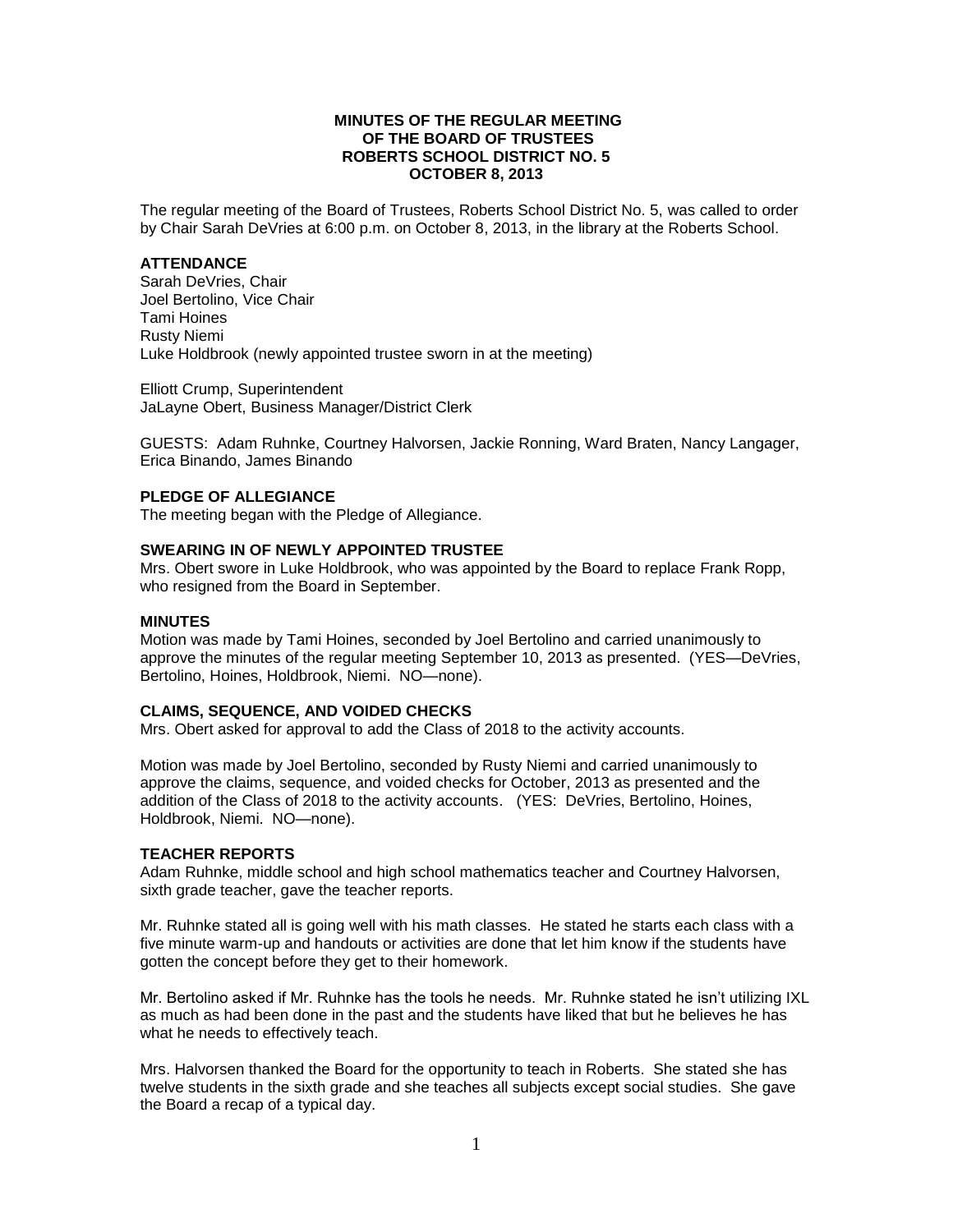## **MINUTES OF THE REGULAR MEETING OF THE BOARD OF TRUSTEES ROBERTS SCHOOL DISTRICT NO. 5 OCTOBER 8, 2013**

The regular meeting of the Board of Trustees, Roberts School District No. 5, was called to order by Chair Sarah DeVries at 6:00 p.m. on October 8, 2013, in the library at the Roberts School.

## **ATTENDANCE**

Sarah DeVries, Chair Joel Bertolino, Vice Chair Tami Hoines Rusty Niemi Luke Holdbrook (newly appointed trustee sworn in at the meeting)

Elliott Crump, Superintendent JaLayne Obert, Business Manager/District Clerk

GUESTS: Adam Ruhnke, Courtney Halvorsen, Jackie Ronning, Ward Braten, Nancy Langager, Erica Binando, James Binando

## **PLEDGE OF ALLEGIANCE**

The meeting began with the Pledge of Allegiance.

## **SWEARING IN OF NEWLY APPOINTED TRUSTEE**

Mrs. Obert swore in Luke Holdbrook, who was appointed by the Board to replace Frank Ropp, who resigned from the Board in September.

## **MINUTES**

Motion was made by Tami Hoines, seconded by Joel Bertolino and carried unanimously to approve the minutes of the regular meeting September 10, 2013 as presented. (YES—DeVries, Bertolino, Hoines, Holdbrook, Niemi. NO—none).

#### **CLAIMS, SEQUENCE, AND VOIDED CHECKS**

Mrs. Obert asked for approval to add the Class of 2018 to the activity accounts.

Motion was made by Joel Bertolino, seconded by Rusty Niemi and carried unanimously to approve the claims, sequence, and voided checks for October, 2013 as presented and the addition of the Class of 2018 to the activity accounts. (YES: DeVries, Bertolino, Hoines, Holdbrook, Niemi. NO—none).

#### **TEACHER REPORTS**

Adam Ruhnke, middle school and high school mathematics teacher and Courtney Halvorsen, sixth grade teacher, gave the teacher reports.

Mr. Ruhnke stated all is going well with his math classes. He stated he starts each class with a five minute warm-up and handouts or activities are done that let him know if the students have gotten the concept before they get to their homework.

Mr. Bertolino asked if Mr. Ruhnke has the tools he needs. Mr. Ruhnke stated he isn't utilizing IXL as much as had been done in the past and the students have liked that but he believes he has what he needs to effectively teach.

Mrs. Halvorsen thanked the Board for the opportunity to teach in Roberts. She stated she has twelve students in the sixth grade and she teaches all subjects except social studies. She gave the Board a recap of a typical day.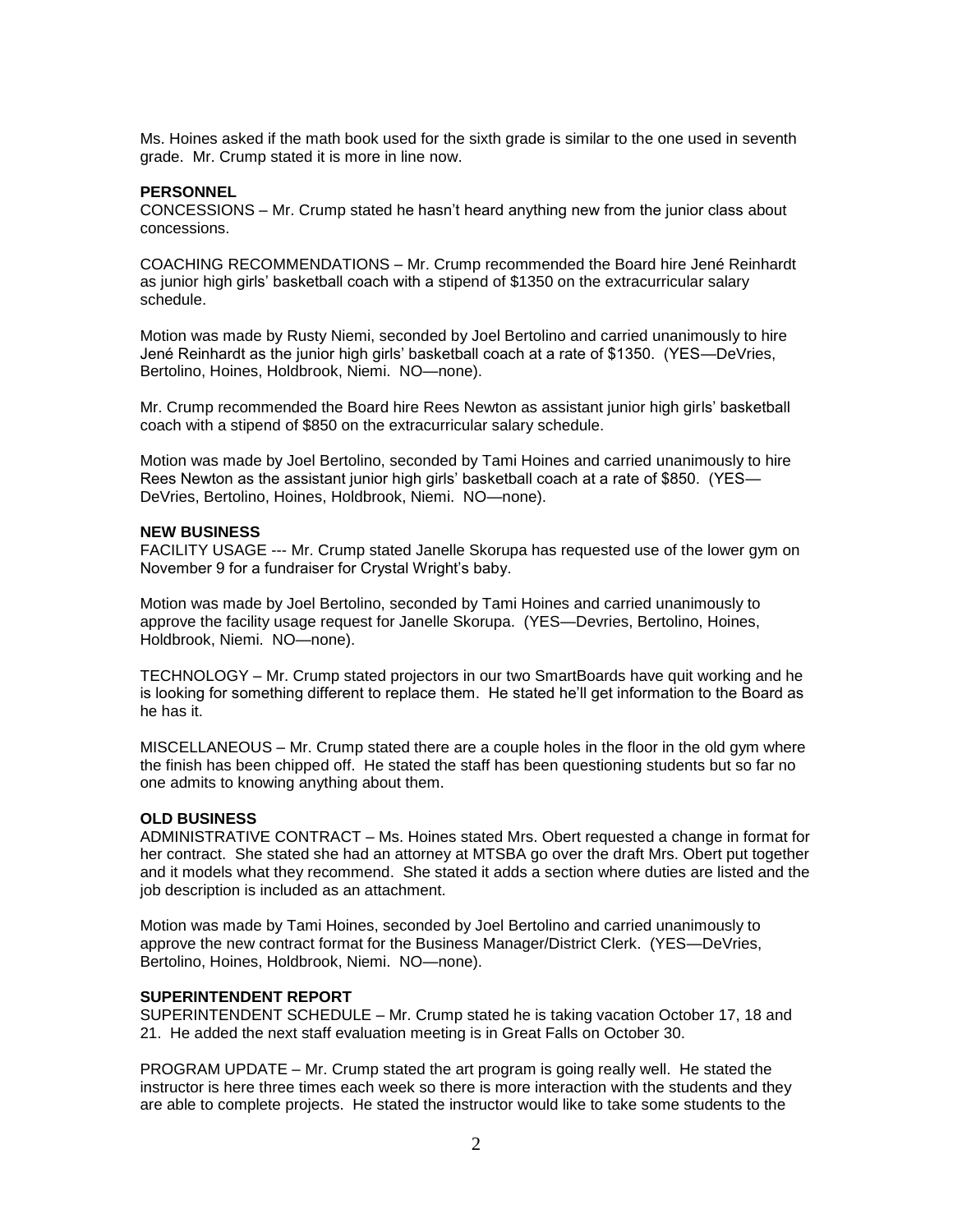Ms. Hoines asked if the math book used for the sixth grade is similar to the one used in seventh grade. Mr. Crump stated it is more in line now.

## **PERSONNEL**

CONCESSIONS – Mr. Crump stated he hasn't heard anything new from the junior class about concessions.

COACHING RECOMMENDATIONS – Mr. Crump recommended the Board hire Jené Reinhardt as junior high girls' basketball coach with a stipend of \$1350 on the extracurricular salary schedule.

Motion was made by Rusty Niemi, seconded by Joel Bertolino and carried unanimously to hire Jené Reinhardt as the junior high girls' basketball coach at a rate of \$1350. (YES—DeVries, Bertolino, Hoines, Holdbrook, Niemi. NO—none).

Mr. Crump recommended the Board hire Rees Newton as assistant junior high girls' basketball coach with a stipend of \$850 on the extracurricular salary schedule.

Motion was made by Joel Bertolino, seconded by Tami Hoines and carried unanimously to hire Rees Newton as the assistant junior high girls' basketball coach at a rate of \$850. (YES— DeVries, Bertolino, Hoines, Holdbrook, Niemi. NO—none).

#### **NEW BUSINESS**

FACILITY USAGE --- Mr. Crump stated Janelle Skorupa has requested use of the lower gym on November 9 for a fundraiser for Crystal Wright's baby.

Motion was made by Joel Bertolino, seconded by Tami Hoines and carried unanimously to approve the facility usage request for Janelle Skorupa. (YES—Devries, Bertolino, Hoines, Holdbrook, Niemi. NO—none).

TECHNOLOGY – Mr. Crump stated projectors in our two SmartBoards have quit working and he is looking for something different to replace them. He stated he'll get information to the Board as he has it.

MISCELLANEOUS – Mr. Crump stated there are a couple holes in the floor in the old gym where the finish has been chipped off. He stated the staff has been questioning students but so far no one admits to knowing anything about them.

#### **OLD BUSINESS**

ADMINISTRATIVE CONTRACT – Ms. Hoines stated Mrs. Obert requested a change in format for her contract. She stated she had an attorney at MTSBA go over the draft Mrs. Obert put together and it models what they recommend. She stated it adds a section where duties are listed and the job description is included as an attachment.

Motion was made by Tami Hoines, seconded by Joel Bertolino and carried unanimously to approve the new contract format for the Business Manager/District Clerk. (YES—DeVries, Bertolino, Hoines, Holdbrook, Niemi. NO—none).

## **SUPERINTENDENT REPORT**

SUPERINTENDENT SCHEDULE – Mr. Crump stated he is taking vacation October 17, 18 and 21. He added the next staff evaluation meeting is in Great Falls on October 30.

PROGRAM UPDATE – Mr. Crump stated the art program is going really well. He stated the instructor is here three times each week so there is more interaction with the students and they are able to complete projects. He stated the instructor would like to take some students to the